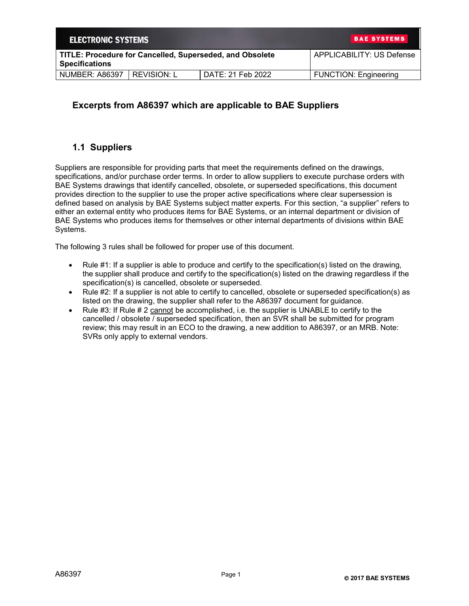| <b>ELECTRONIC SYSTEMS</b> | <b>BAE SYSTEMS</b>                                       |                           |                              |
|---------------------------|----------------------------------------------------------|---------------------------|------------------------------|
| <b>Specifications</b>     | TITLE: Procedure for Cancelled, Superseded, and Obsolete | APPLICABILITY: US Defense |                              |
| <b>NUMBER: A86397</b>     | I REVISION: L                                            | DATE: 21 Feb 2022         | <b>FUNCTION: Engineering</b> |

## **Excerpts from A86397 which are applicable to BAE Suppliers**

## **1.1 Suppliers**

Suppliers are responsible for providing parts that meet the requirements defined on the drawings, specifications, and/or purchase order terms. In order to allow suppliers to execute purchase orders with BAE Systems drawings that identify cancelled, obsolete, or superseded specifications, this document provides direction to the supplier to use the proper active specifications where clear supersession is defined based on analysis by BAE Systems subject matter experts. For this section, "a supplier" refers to either an external entity who produces items for BAE Systems, or an internal department or division of BAE Systems who produces items for themselves or other internal departments of divisions within BAE Systems.

The following 3 rules shall be followed for proper use of this document.

- Rule #1: If a supplier is able to produce and certify to the specification(s) listed on the drawing, the supplier shall produce and certify to the specification(s) listed on the drawing regardless if the specification(s) is cancelled, obsolete or superseded.
- Rule #2: If a supplier is not able to certify to cancelled, obsolete or superseded specification(s) as listed on the drawing, the supplier shall refer to the A86397 document for guidance.
- Rule  $#3$ : If Rule  $#2$  cannot be accomplished, i.e. the supplier is UNABLE to certify to the cancelled / obsolete / superseded specification, then an SVR shall be submitted for program review; this may result in an ECO to the drawing, a new addition to A86397, or an MRB. Note: SVRs only apply to external vendors.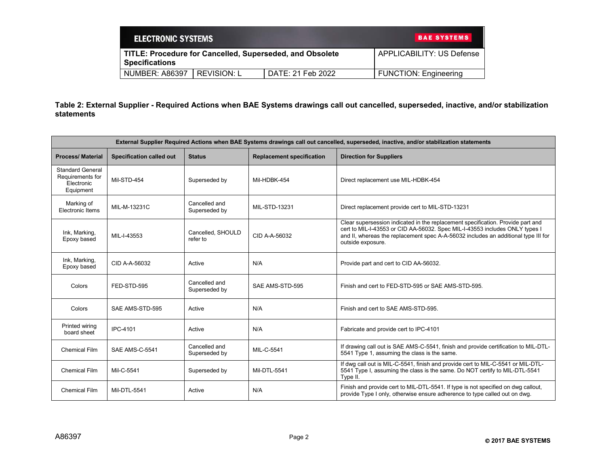| <b>ELECTRONIC SYSTEMS</b> |             |                                                          | <b>BAE SYSTEMS</b>           |
|---------------------------|-------------|----------------------------------------------------------|------------------------------|
| <b>Specifications</b>     |             | TITLE: Procedure for Cancelled, Superseded, and Obsolete | APPLICABILITY: US Defense    |
| <b>NUMBER: A86397</b>     | REVISION: L | DATE: 21 Feb 2022                                        | <b>FUNCTION: Engineering</b> |

**Table 2: External Supplier - Required Actions when BAE Systems drawings call out cancelled, superseded, inactive, and/or stabilization statements**

| External Supplier Required Actions when BAE Systems drawings call out cancelled, superseded, inactive, and/or stabilization statements |                                 |                                |                                  |                                                                                                                                                                                                                                                                           |
|----------------------------------------------------------------------------------------------------------------------------------------|---------------------------------|--------------------------------|----------------------------------|---------------------------------------------------------------------------------------------------------------------------------------------------------------------------------------------------------------------------------------------------------------------------|
| <b>Process/Material</b>                                                                                                                | <b>Specification called out</b> | <b>Status</b>                  | <b>Replacement specification</b> | <b>Direction for Suppliers</b>                                                                                                                                                                                                                                            |
| <b>Standard General</b><br>Requirements for<br>Electronic<br>Equipment                                                                 | Mil-STD-454                     | Superseded by                  | Mil-HDBK-454                     | Direct replacement use MIL-HDBK-454                                                                                                                                                                                                                                       |
| Marking of<br>Electronic Items                                                                                                         | MIL-M-13231C                    | Cancelled and<br>Superseded by | MIL-STD-13231                    | Direct replacement provide cert to MIL-STD-13231                                                                                                                                                                                                                          |
| Ink, Marking,<br>Epoxy based                                                                                                           | MIL-I-43553                     | Cancelled. SHOULD<br>refer to  | CID A-A-56032                    | Clear supersession indicated in the replacement specification. Provide part and<br>cert to MIL-I-43553 or CID AA-56032. Spec MIL-I-43553 includes ONLY types I<br>and II, whereas the replacement spec A-A-56032 includes an additional type III for<br>outside exposure. |
| Ink, Marking,<br>Epoxy based                                                                                                           | CID A-A-56032                   | Active                         | N/A                              | Provide part and cert to CID AA-56032.                                                                                                                                                                                                                                    |
| Colors                                                                                                                                 | FED-STD-595                     | Cancelled and<br>Superseded by | SAE AMS-STD-595                  | Finish and cert to FED-STD-595 or SAE AMS-STD-595.                                                                                                                                                                                                                        |
| Colors                                                                                                                                 | SAE AMS-STD-595                 | Active                         | N/A                              | Finish and cert to SAE AMS-STD-595.                                                                                                                                                                                                                                       |
| Printed wiring<br>board sheet                                                                                                          | <b>IPC-4101</b>                 | Active                         | N/A                              | Fabricate and provide cert to IPC-4101                                                                                                                                                                                                                                    |
| <b>Chemical Film</b>                                                                                                                   | <b>SAE AMS-C-5541</b>           | Cancelled and<br>Superseded by | MIL-C-5541                       | If drawing call out is SAE AMS-C-5541, finish and provide certification to MIL-DTL-<br>5541 Type 1, assuming the class is the same.                                                                                                                                       |
| <b>Chemical Film</b>                                                                                                                   | Mil-C-5541                      | Superseded by                  | Mil-DTL-5541                     | If dwg call out is MIL-C-5541, finish and provide cert to MIL-C-5541 or MIL-DTL-<br>5541 Type I, assuming the class is the same. Do NOT certify to MIL-DTL-5541<br>Type II.                                                                                               |
| <b>Chemical Film</b>                                                                                                                   | Mil-DTL-5541                    | Active                         | N/A                              | Finish and provide cert to MIL-DTL-5541. If type is not specified on dwg callout,<br>provide Type I only, otherwise ensure adherence to type called out on dwg.                                                                                                           |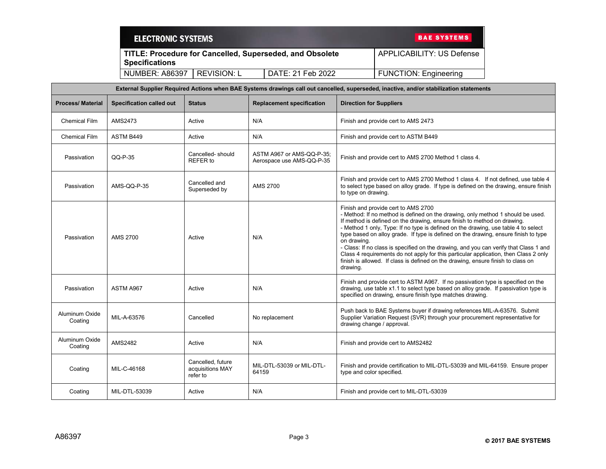|                                                                                   | <b>ELECTRONIC SYSTEMS</b>       |                                                   |                                                        |                                | <b>BAE SYSTEMS</b>                                                                                                                                                                                                                                                                                                                                                                                                                                                                                                                                                                                                                                   |
|-----------------------------------------------------------------------------------|---------------------------------|---------------------------------------------------|--------------------------------------------------------|--------------------------------|------------------------------------------------------------------------------------------------------------------------------------------------------------------------------------------------------------------------------------------------------------------------------------------------------------------------------------------------------------------------------------------------------------------------------------------------------------------------------------------------------------------------------------------------------------------------------------------------------------------------------------------------------|
| TITLE: Procedure for Cancelled, Superseded, and Obsolete<br><b>Specifications</b> |                                 |                                                   |                                                        |                                | <b>APPLICABILITY: US Defense</b>                                                                                                                                                                                                                                                                                                                                                                                                                                                                                                                                                                                                                     |
|                                                                                   | NUMBER: A86397                  | <b>REVISION: L</b>                                | DATE: 21 Feb 2022                                      |                                | <b>FUNCTION: Engineering</b>                                                                                                                                                                                                                                                                                                                                                                                                                                                                                                                                                                                                                         |
|                                                                                   |                                 |                                                   |                                                        |                                | External Supplier Required Actions when BAE Systems drawings call out cancelled, superseded, inactive, and/or stabilization statements                                                                                                                                                                                                                                                                                                                                                                                                                                                                                                               |
| Process/ Material                                                                 | <b>Specification called out</b> | <b>Status</b>                                     | <b>Replacement specification</b>                       | <b>Direction for Suppliers</b> |                                                                                                                                                                                                                                                                                                                                                                                                                                                                                                                                                                                                                                                      |
| <b>Chemical Film</b>                                                              | AMS2473                         | Active                                            | N/A                                                    |                                | Finish and provide cert to AMS 2473                                                                                                                                                                                                                                                                                                                                                                                                                                                                                                                                                                                                                  |
| <b>Chemical Film</b>                                                              | ASTM B449                       | Active                                            | N/A                                                    |                                | Finish and provide cert to ASTM B449                                                                                                                                                                                                                                                                                                                                                                                                                                                                                                                                                                                                                 |
| Passivation                                                                       | QQ-P-35                         | Cancelled-should<br>REFER to                      | ASTM A967 or AMS-QQ-P-35;<br>Aerospace use AMS-QQ-P-35 |                                | Finish and provide cert to AMS 2700 Method 1 class 4.                                                                                                                                                                                                                                                                                                                                                                                                                                                                                                                                                                                                |
| Passivation                                                                       | AMS-QQ-P-35                     | Cancelled and<br>Superseded by                    | AMS 2700                                               | to type on drawing.            | Finish and provide cert to AMS 2700 Method 1 class 4. If not defined, use table 4<br>to select type based on alloy grade. If type is defined on the drawing, ensure finish                                                                                                                                                                                                                                                                                                                                                                                                                                                                           |
| Passivation                                                                       | <b>AMS 2700</b>                 | Active                                            | N/A                                                    | on drawing.<br>drawing.        | Finish and provide cert to AMS 2700<br>- Method: If no method is defined on the drawing, only method 1 should be used.<br>If method is defined on the drawing, ensure finish to method on drawing.<br>- Method 1 only, Type: If no type is defined on the drawing, use table 4 to select<br>type based on alloy grade. If type is defined on the drawing, ensure finish to type<br>- Class: If no class is specified on the drawing, and you can verify that Class 1 and<br>Class 4 requirements do not apply for this particular application, then Class 2 only<br>finish is allowed. If class is defined on the drawing, ensure finish to class on |
| Passivation                                                                       | ASTM A967                       | Active                                            | N/A                                                    |                                | Finish and provide cert to ASTM A967. If no passivation type is specified on the<br>drawing, use table x1.1 to select type based on alloy grade. If passivation type is<br>specified on drawing, ensure finish type matches drawing.                                                                                                                                                                                                                                                                                                                                                                                                                 |
| Aluminum Oxide<br>Coating                                                         | MIL-A-63576                     | Cancelled                                         | No replacement                                         |                                | Push back to BAE Systems buyer if drawing references MIL-A-63576. Submit<br>Supplier Variation Request (SVR) through your procurement representative for<br>drawing change / approval.                                                                                                                                                                                                                                                                                                                                                                                                                                                               |
| Aluminum Oxide<br>Coating                                                         | <b>AMS2482</b>                  | Active                                            | N/A                                                    |                                | Finish and provide cert to AMS2482                                                                                                                                                                                                                                                                                                                                                                                                                                                                                                                                                                                                                   |
| Coating                                                                           | MIL-C-46168                     | Cancelled, future<br>acquisitions MAY<br>refer to | MIL-DTL-53039 or MIL-DTL-<br>64159                     | type and color specified.      | Finish and provide certification to MIL-DTL-53039 and MIL-64159. Ensure proper                                                                                                                                                                                                                                                                                                                                                                                                                                                                                                                                                                       |
| Coating                                                                           | MIL-DTL-53039                   | Active                                            | N/A                                                    |                                | Finish and provide cert to MIL-DTL-53039                                                                                                                                                                                                                                                                                                                                                                                                                                                                                                                                                                                                             |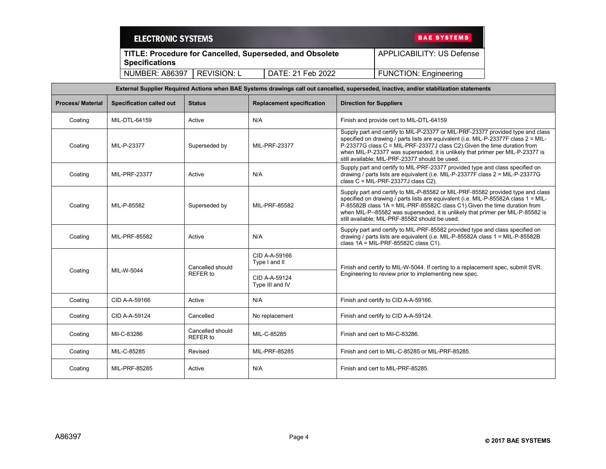| <b>ELECTRONIC SYSTEMS</b> |             | <b>BAE SYSTEMS</b>                                              |                              |
|---------------------------|-------------|-----------------------------------------------------------------|------------------------------|
| <b>Specifications</b>     |             | <b>TITLE: Procedure for Cancelled, Superseded, and Obsolete</b> | APPLICABILITY: US Defense    |
| <b>NUMBER: A86397</b>     | REVISION: L | DATE: 21 Feb 2022                                               | <b>FUNCTION: Engineering</b> |

| External Supplier Required Actions when BAE Systems drawings call out cancelled, superseded, inactive, and/or stabilization statements |                                 |                              |                                  |                                                                                                                                                                                                                                                                                                                                                                                           |
|----------------------------------------------------------------------------------------------------------------------------------------|---------------------------------|------------------------------|----------------------------------|-------------------------------------------------------------------------------------------------------------------------------------------------------------------------------------------------------------------------------------------------------------------------------------------------------------------------------------------------------------------------------------------|
| <b>Process/Material</b>                                                                                                                | <b>Specification called out</b> | <b>Status</b>                | <b>Replacement specification</b> | <b>Direction for Suppliers</b>                                                                                                                                                                                                                                                                                                                                                            |
| Coating                                                                                                                                | MIL-DTL-64159                   | Active                       | N/A                              | Finish and provide cert to MIL-DTL-64159                                                                                                                                                                                                                                                                                                                                                  |
| Coating                                                                                                                                | MIL-P-23377                     | Superseded by                | MIL-PRF-23377                    | Supply part and certify to MIL-P-23377 or MIL-PRF-23377 provided type and class<br>specified on drawing / parts lists are equivalent (i.e. MIL-P-23377F class 2 = MIL-<br>P-23377G class C = MIL-PRF-23377J class C2). Given the time duration from<br>when MIL-P-23377 was superseded, it is unlikely that primer per MIL-P-23377 is<br>still available; MIL-PRF-23377 should be used.   |
| Coating                                                                                                                                | MIL-PRF-23377                   | Active                       | N/A                              | Supply part and certify to MIL-PRF-23377 provided type and class specified on<br>drawing / parts lists are equivalent (i.e. MIL-P-23377F class 2 = MIL-P-23377G<br>class $C = MIL-PRF-23377J$ class $C2$ ).                                                                                                                                                                               |
| Coating                                                                                                                                | MIL-P-85582                     | Superseded by                | MIL-PRF-85582                    | Supply part and certify to MIL-P-85582 or MIL-PRF-85582 provided type and class<br>specified on drawing / parts lists are equivalent (i.e. MIL-P-85582A class 1 = MIL-<br>P-85582B class 1A = MIL-PRF-85582C class C1). Given the time duration from<br>when MIL-P--85582 was superseded, it is unlikely that primer per MIL-P-85582 is<br>still available; MIL-PRF-85582 should be used. |
| Coating                                                                                                                                | MIL-PRF-85582                   | Active                       | N/A                              | Supply part and certify to MIL-PRF-85582 provided type and class specified on<br>drawing / parts lists are equivalent (i.e. MIL-P-85582A class 1 = MIL-P-85582B<br>class $1A = MIL-PRF-85582C$ class $C1$ ).                                                                                                                                                                              |
|                                                                                                                                        |                                 | Cancelled should             | CID A-A-59166<br>Type I and II   | Finish and certify to MIL-W-5044. If certing to a replacement spec, submit SVR.                                                                                                                                                                                                                                                                                                           |
| Coating                                                                                                                                | MIL-W-5044                      | <b>REFER to</b>              | CID A-A-59124<br>Type III and IV | Engineering to review prior to implementing new spec.                                                                                                                                                                                                                                                                                                                                     |
| Coating                                                                                                                                | CID A-A-59166                   | Active                       | N/A                              | Finish and certify to CID A-A-59166.                                                                                                                                                                                                                                                                                                                                                      |
| Coating                                                                                                                                | CID A-A-59124                   | Cancelled                    | No replacement                   | Finish and certify to CID A-A-59124.                                                                                                                                                                                                                                                                                                                                                      |
| Coating                                                                                                                                | Mil-C-83286                     | Cancelled should<br>REFER to | MIL-C-85285                      | Finish and cert to Mil-C-83286.                                                                                                                                                                                                                                                                                                                                                           |
| Coating                                                                                                                                | MIL-C-85285                     | Revised                      | MIL-PRF-85285                    | Finish and cert to MIL-C-85285 or MIL-PRF-85285.                                                                                                                                                                                                                                                                                                                                          |
| Coating                                                                                                                                | MIL-PRF-85285                   | Active                       | N/A                              | Finish and cert to MIL-PRF-85285.                                                                                                                                                                                                                                                                                                                                                         |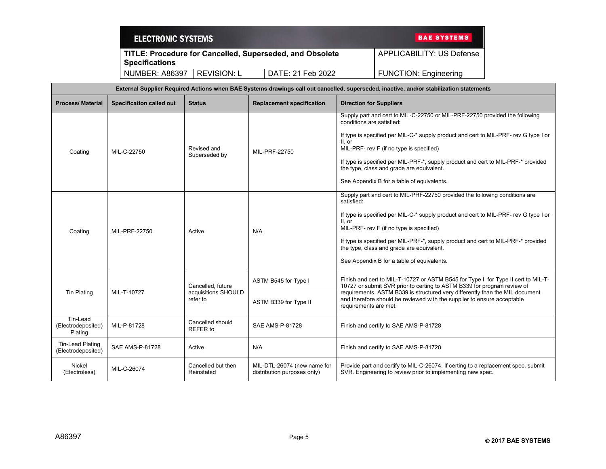| <b>ELECTRONIC SYSTEMS</b>                                                         | <b>BAE SYSTEMS</b> |                           |                              |
|-----------------------------------------------------------------------------------|--------------------|---------------------------|------------------------------|
| TITLE: Procedure for Cancelled, Superseded, and Obsolete<br><b>Specifications</b> |                    | APPLICABILITY: US Defense |                              |
| NUMBER: A86397                                                                    | REVISION: L        | DATE: 21 Feb 2022         | <b>FUNCTION: Engineering</b> |

| External Supplier Required Actions when BAE Systems drawings call out cancelled, superseded, inactive, and/or stabilization statements |                                 |                                     |                                                                                                                                                                                  |                                                                                                                                                                                                                                                                                                                                                                                                                                        |
|----------------------------------------------------------------------------------------------------------------------------------------|---------------------------------|-------------------------------------|----------------------------------------------------------------------------------------------------------------------------------------------------------------------------------|----------------------------------------------------------------------------------------------------------------------------------------------------------------------------------------------------------------------------------------------------------------------------------------------------------------------------------------------------------------------------------------------------------------------------------------|
| <b>Process/Material</b>                                                                                                                | <b>Specification called out</b> | <b>Status</b>                       | <b>Replacement specification</b>                                                                                                                                                 | <b>Direction for Suppliers</b>                                                                                                                                                                                                                                                                                                                                                                                                         |
| Coating                                                                                                                                | MIL-C-22750                     | Revised and<br>Superseded by        | MIL-PRF-22750                                                                                                                                                                    | Supply part and cert to MIL-C-22750 or MIL-PRF-22750 provided the following<br>conditions are satisfied:<br>If type is specified per MIL-C-* supply product and cert to MIL-PRF- rev G type I or<br>II. or<br>MIL-PRF- rev F (if no type is specified)<br>If type is specified per MIL-PRF-*, supply product and cert to MIL-PRF-* provided<br>the type, class and grade are equivalent.<br>See Appendix B for a table of equivalents. |
| Coating                                                                                                                                | MIL-PRF-22750                   | Active                              | N/A                                                                                                                                                                              | Supply part and cert to MIL-PRF-22750 provided the following conditions are<br>satisfied:<br>If type is specified per MIL-C-* supply product and cert to MIL-PRF- rev G type I or<br>II. or<br>MIL-PRF- rev F (if no type is specified)<br>If type is specified per MIL-PRF-*, supply product and cert to MIL-PRF-* provided<br>the type, class and grade are equivalent.<br>See Appendix B for a table of equivalents.                |
|                                                                                                                                        |                                 | Cancelled. future                   | ASTM B545 for Type I                                                                                                                                                             | Finish and cert to MIL-T-10727 or ASTM B545 for Type I, for Type II cert to MIL-T-<br>10727 or submit SVR prior to certing to ASTM B339 for program review of                                                                                                                                                                                                                                                                          |
| <b>Tin Plating</b><br>MIL-T-10727                                                                                                      | acquisitions SHOULD<br>refer to | ASTM B339 for Type II               | requirements. ASTM B339 is structured very differently than the MIL document<br>and therefore should be reviewed with the supplier to ensure acceptable<br>requirements are met. |                                                                                                                                                                                                                                                                                                                                                                                                                                        |
| Tin-Lead<br>(Electrodeposited)<br>Plating                                                                                              | MIL-P-81728                     | Cancelled should<br><b>REFER</b> to | SAE AMS-P-81728                                                                                                                                                                  | Finish and certify to SAE AMS-P-81728                                                                                                                                                                                                                                                                                                                                                                                                  |
| Tin-Lead Plating<br>(Electrodeposited)                                                                                                 | SAE AMS-P-81728                 | Active                              | N/A                                                                                                                                                                              | Finish and certify to SAE AMS-P-81728                                                                                                                                                                                                                                                                                                                                                                                                  |
| Nickel<br>(Electroless)                                                                                                                | MIL-C-26074                     | Cancelled but then<br>Reinstated    | MIL-DTL-26074 (new name for<br>distribution purposes only)                                                                                                                       | Provide part and certify to MIL-C-26074. If certing to a replacement spec, submit<br>SVR. Engineering to review prior to implementing new spec.                                                                                                                                                                                                                                                                                        |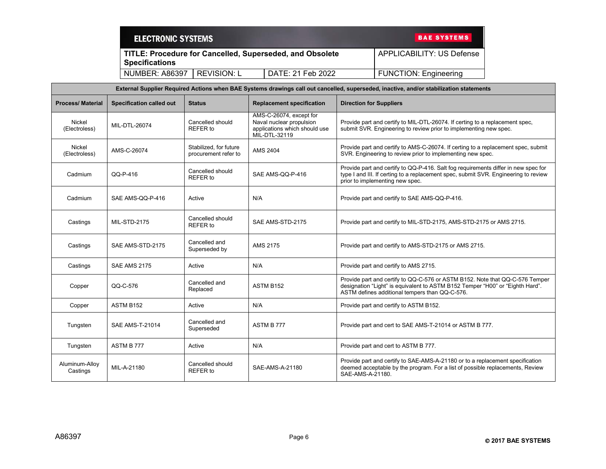| <b>ELECTRONIC SYSTEMS</b> | <b>BAE SYSTEMS</b>                                       |                   |                              |  |
|---------------------------|----------------------------------------------------------|-------------------|------------------------------|--|
| <b>Specifications</b>     | TITLE: Procedure for Cancelled, Superseded, and Obsolete |                   |                              |  |
| <b>NUMBER: A86397</b>     | REVISION: L                                              | DATE: 21 Feb 2022 | <b>FUNCTION: Engineering</b> |  |

| External Supplier Required Actions when BAE Systems drawings call out cancelled, superseded, inactive, and/or stabilization statements |                                 |                                                |                                                                                                       |                                                                                                                                                                                                                 |
|----------------------------------------------------------------------------------------------------------------------------------------|---------------------------------|------------------------------------------------|-------------------------------------------------------------------------------------------------------|-----------------------------------------------------------------------------------------------------------------------------------------------------------------------------------------------------------------|
| <b>Process/Material</b>                                                                                                                | <b>Specification called out</b> | <b>Status</b>                                  | <b>Replacement specification</b>                                                                      | <b>Direction for Suppliers</b>                                                                                                                                                                                  |
| <b>Nickel</b><br>(Electroless)                                                                                                         | MIL-DTL-26074                   | Cancelled should<br><b>REFER</b> to            | AMS-C-26074, except for<br>Naval nuclear propulsion<br>applications which should use<br>MIL-DTL-32119 | Provide part and certify to MIL-DTL-26074. If certing to a replacement spec,<br>submit SVR. Engineering to review prior to implementing new spec.                                                               |
| Nickel<br>(Electroless)                                                                                                                | AMS-C-26074                     | Stabilized, for future<br>procurement refer to | <b>AMS 2404</b>                                                                                       | Provide part and certify to AMS-C-26074. If certing to a replacement spec, submit<br>SVR. Engineering to review prior to implementing new spec.                                                                 |
| Cadmium                                                                                                                                | QQ-P-416                        | Cancelled should<br>REFER to                   | SAE AMS-QQ-P-416                                                                                      | Provide part and certify to QQ-P-416. Salt fog requirements differ in new spec for<br>type I and III. If certing to a replacement spec, submit SVR. Engineering to review<br>prior to implementing new spec.    |
| Cadmium                                                                                                                                | SAE AMS-QQ-P-416                | Active                                         | N/A                                                                                                   | Provide part and certify to SAE AMS-QQ-P-416.                                                                                                                                                                   |
| Castings                                                                                                                               | <b>MIL-STD-2175</b>             | Cancelled should<br><b>REFER</b> to            | SAE AMS-STD-2175                                                                                      | Provide part and certify to MIL-STD-2175, AMS-STD-2175 or AMS 2715.                                                                                                                                             |
| Castings                                                                                                                               | SAE AMS-STD-2175                | Cancelled and<br>Superseded by                 | AMS 2175                                                                                              | Provide part and certify to AMS-STD-2175 or AMS 2715.                                                                                                                                                           |
| Castings                                                                                                                               | <b>SAE AMS 2175</b>             | Active                                         | N/A                                                                                                   | Provide part and certify to AMS 2715.                                                                                                                                                                           |
| Copper                                                                                                                                 | QQ-C-576                        | Cancelled and<br>Replaced                      | ASTM B152                                                                                             | Provide part and certify to QQ-C-576 or ASTM B152. Note that QQ-C-576 Temper<br>designation "Light" is equivalent to ASTM B152 Temper "H00" or "Eighth Hard".<br>ASTM defines additional tempers than QQ-C-576. |
| Copper                                                                                                                                 | ASTM B152                       | Active                                         | N/A                                                                                                   | Provide part and certify to ASTM B152.                                                                                                                                                                          |
| Tungsten                                                                                                                               | <b>SAE AMS-T-21014</b>          | Cancelled and<br>Superseded                    | ASTM B 777                                                                                            | Provide part and cert to SAE AMS-T-21014 or ASTM B 777.                                                                                                                                                         |
| Tungsten                                                                                                                               | ASTM B 777                      | Active                                         | N/A                                                                                                   | Provide part and cert to ASTM B 777.                                                                                                                                                                            |
| Aluminum-Alloy<br>Castings                                                                                                             | MIL-A-21180                     | Cancelled should<br>REFER to                   | SAE-AMS-A-21180                                                                                       | Provide part and certify to SAE-AMS-A-21180 or to a replacement specification<br>deemed acceptable by the program. For a list of possible replacements, Review<br>SAE-AMS-A-21180.                              |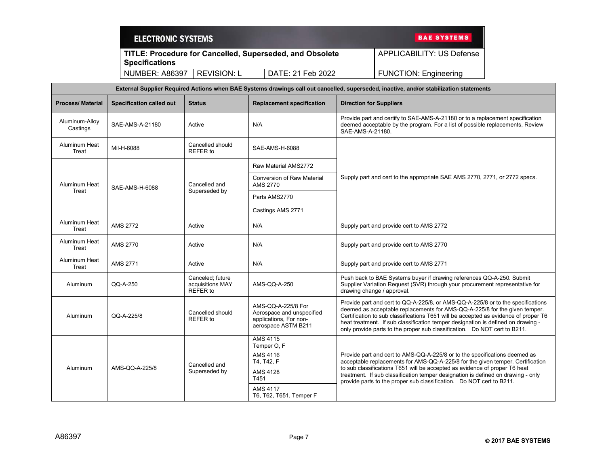| <b>ELECTRONIC SYSTEMS</b>                                                         |             | <b>BAE SYSTEMS</b>        |                              |
|-----------------------------------------------------------------------------------|-------------|---------------------------|------------------------------|
| TITLE: Procedure for Cancelled, Superseded, and Obsolete<br><b>Specifications</b> |             | APPLICABILITY: US Defense |                              |
| NUMBER: A86397                                                                    | REVISION: L | DATE: 21 Feb 2022         | <b>FUNCTION: Engineering</b> |

| External Supplier Required Actions when BAE Systems drawings call out cancelled, superseded, inactive, and/or stabilization statements |                                 |                                                  |                                                                                                  |                                                                                                                                                                                                                                                                                                                                                                                                                       |  |
|----------------------------------------------------------------------------------------------------------------------------------------|---------------------------------|--------------------------------------------------|--------------------------------------------------------------------------------------------------|-----------------------------------------------------------------------------------------------------------------------------------------------------------------------------------------------------------------------------------------------------------------------------------------------------------------------------------------------------------------------------------------------------------------------|--|
| <b>Process/Material</b>                                                                                                                | <b>Specification called out</b> | <b>Status</b>                                    | <b>Replacement specification</b>                                                                 | <b>Direction for Suppliers</b>                                                                                                                                                                                                                                                                                                                                                                                        |  |
| Aluminum-Alloy<br>Castings                                                                                                             | SAE-AMS-A-21180                 | Active                                           | N/A                                                                                              | Provide part and certify to SAE-AMS-A-21180 or to a replacement specification<br>deemed acceptable by the program. For a list of possible replacements, Review<br>SAE-AMS-A-21180.                                                                                                                                                                                                                                    |  |
| Aluminum Heat<br>Treat                                                                                                                 | Mil-H-6088                      | Cancelled should<br>REFER to                     | SAE-AMS-H-6088                                                                                   |                                                                                                                                                                                                                                                                                                                                                                                                                       |  |
|                                                                                                                                        |                                 |                                                  | Raw Material AMS2772                                                                             |                                                                                                                                                                                                                                                                                                                                                                                                                       |  |
| Aluminum Heat                                                                                                                          | SAE-AMS-H-6088                  | Cancelled and                                    | <b>Conversion of Raw Material</b><br><b>AMS 2770</b>                                             | Supply part and cert to the appropriate SAE AMS 2770, 2771, or 2772 specs.                                                                                                                                                                                                                                                                                                                                            |  |
| Treat                                                                                                                                  |                                 | Superseded by                                    | Parts AMS2770                                                                                    |                                                                                                                                                                                                                                                                                                                                                                                                                       |  |
|                                                                                                                                        |                                 |                                                  | Castings AMS 2771                                                                                |                                                                                                                                                                                                                                                                                                                                                                                                                       |  |
| Aluminum Heat<br>Treat                                                                                                                 | <b>AMS 2772</b>                 | Active                                           | N/A                                                                                              | Supply part and provide cert to AMS 2772                                                                                                                                                                                                                                                                                                                                                                              |  |
| Aluminum Heat<br>Treat                                                                                                                 | AMS 2770                        | Active                                           | N/A                                                                                              | Supply part and provide cert to AMS 2770                                                                                                                                                                                                                                                                                                                                                                              |  |
| Aluminum Heat<br>Treat                                                                                                                 | <b>AMS 2771</b>                 | Active                                           | N/A                                                                                              | Supply part and provide cert to AMS 2771                                                                                                                                                                                                                                                                                                                                                                              |  |
| Aluminum                                                                                                                               | QQ-A-250                        | Canceled: future<br>acquisitions MAY<br>REFER to | AMS-QQ-A-250                                                                                     | Push back to BAE Systems buyer if drawing references QQ-A-250. Submit<br>Supplier Variation Request (SVR) through your procurement representative for<br>drawing change / approval.                                                                                                                                                                                                                                   |  |
| Aluminum                                                                                                                               | QQ-A-225/8                      | Cancelled should<br><b>REFER</b> to              | AMS-QQ-A-225/8 For<br>Aerospace and unspecified<br>applications, For non-<br>aerospace ASTM B211 | Provide part and cert to QQ-A-225/8, or AMS-QQ-A-225/8 or to the specifications<br>deemed as acceptable replacements for AMS-QQ-A-225/8 for the given temper.<br>Certification to sub classifications T651 will be accepted as evidence of proper T6<br>heat treatment. If sub classification temper designation is defined on drawing -<br>only provide parts to the proper sub classification. Do NOT cert to B211. |  |
|                                                                                                                                        |                                 | AMS 4115<br>Temper O, F                          |                                                                                                  |                                                                                                                                                                                                                                                                                                                                                                                                                       |  |
|                                                                                                                                        |                                 | Cancelled and<br>Superseded by                   | AMS 4116<br>T4, T42, F                                                                           | Provide part and cert to AMS-QQ-A-225/8 or to the specifications deemed as<br>acceptable replacements for AMS-QQ-A-225/8 for the given temper. Certification<br>to sub classifications T651 will be accepted as evidence of proper T6 heat<br>treatment. If sub classification temper designation is defined on drawing - only<br>provide parts to the proper sub classification. Do NOT cert to B211.                |  |
| Aluminum                                                                                                                               | AMS-QQ-A-225/8                  |                                                  | AMS 4128<br>T451                                                                                 |                                                                                                                                                                                                                                                                                                                                                                                                                       |  |
|                                                                                                                                        |                                 |                                                  | <b>AMS 4117</b><br>T6, T62, T651, Temper F                                                       |                                                                                                                                                                                                                                                                                                                                                                                                                       |  |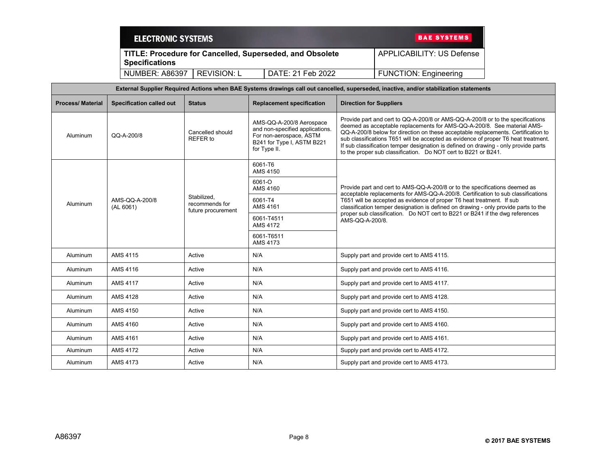| <b>ELECTRONIC SYSTEMS</b> |                                                          | <b>BAE SYSTEMS</b>        |
|---------------------------|----------------------------------------------------------|---------------------------|
|                           | TITLE: Procedure for Cancelled, Superseded, and Obsolete | APPLICABILITY: US Defense |
| <b>Specifications</b>     |                                                          |                           |

| <b>Process/Material</b> | <b>Specification called out</b> | <b>Status</b>                                       | <b>Replacement specification</b>                                                                                                     | <b>Direction for Suppliers</b>                                                                                                                                                                                                                                                                                                                                                                                                                                                                |
|-------------------------|---------------------------------|-----------------------------------------------------|--------------------------------------------------------------------------------------------------------------------------------------|-----------------------------------------------------------------------------------------------------------------------------------------------------------------------------------------------------------------------------------------------------------------------------------------------------------------------------------------------------------------------------------------------------------------------------------------------------------------------------------------------|
| Aluminum                | QQ-A-200/8                      | Cancelled should<br>REFER to                        | AMS-QQ-A-200/8 Aerospace<br>and non-specified applications.<br>For non-aerospace, ASTM<br>B241 for Type I, ASTM B221<br>for Type II. | Provide part and cert to QQ-A-200/8 or AMS-QQ-A-200/8 or to the specifications<br>deemed as acceptable replacements for AMS-QQ-A-200/8. See material AMS-<br>QQ-A-200/8 below for direction on these acceptable replacements. Certification to<br>sub classifications T651 will be accepted as evidence of proper T6 heat treatment.<br>If sub classification temper designation is defined on drawing - only provide parts<br>to the proper sub classification. Do NOT cert to B221 or B241. |
|                         |                                 |                                                     | 6061-T6<br>AMS 4150                                                                                                                  |                                                                                                                                                                                                                                                                                                                                                                                                                                                                                               |
|                         |                                 |                                                     | 6061-O<br>AMS 4160                                                                                                                   | Provide part and cert to AMS-QQ-A-200/8 or to the specifications deemed as<br>acceptable replacements for AMS-QQ-A-200/8. Certification to sub classifications                                                                                                                                                                                                                                                                                                                                |
| Aluminum                | AMS-QQ-A-200/8<br>(AL 6061)     | Stabilized.<br>recommends for<br>future procurement | 6061-T4<br>AMS 4161                                                                                                                  | T651 will be accepted as evidence of proper T6 heat treatment. If sub<br>classification temper designation is defined on drawing - only provide parts to the                                                                                                                                                                                                                                                                                                                                  |
|                         |                                 |                                                     | 6061-T4511<br><b>AMS 4172</b>                                                                                                        | proper sub classification. Do NOT cert to B221 or B241 if the dwg references<br>AMS-QQ-A-200/8.                                                                                                                                                                                                                                                                                                                                                                                               |
|                         |                                 |                                                     | 6061-T6511<br>AMS 4173                                                                                                               |                                                                                                                                                                                                                                                                                                                                                                                                                                                                                               |
| Aluminum                | AMS 4115                        | Active                                              | N/A                                                                                                                                  | Supply part and provide cert to AMS 4115.                                                                                                                                                                                                                                                                                                                                                                                                                                                     |
| Aluminum                | AMS 4116                        | Active                                              | N/A                                                                                                                                  | Supply part and provide cert to AMS 4116.                                                                                                                                                                                                                                                                                                                                                                                                                                                     |
| Aluminum                | <b>AMS 4117</b>                 | Active                                              | N/A                                                                                                                                  | Supply part and provide cert to AMS 4117.                                                                                                                                                                                                                                                                                                                                                                                                                                                     |
| Aluminum                | <b>AMS 4128</b>                 | Active                                              | N/A                                                                                                                                  | Supply part and provide cert to AMS 4128.                                                                                                                                                                                                                                                                                                                                                                                                                                                     |
| Aluminum                | AMS 4150                        | Active                                              | N/A                                                                                                                                  | Supply part and provide cert to AMS 4150.                                                                                                                                                                                                                                                                                                                                                                                                                                                     |
| Aluminum                | AMS 4160                        | Active                                              | N/A                                                                                                                                  | Supply part and provide cert to AMS 4160.                                                                                                                                                                                                                                                                                                                                                                                                                                                     |
| Aluminum                | AMS 4161                        | Active                                              | N/A                                                                                                                                  | Supply part and provide cert to AMS 4161.                                                                                                                                                                                                                                                                                                                                                                                                                                                     |
| Aluminum                | <b>AMS 4172</b>                 | Active                                              | N/A                                                                                                                                  | Supply part and provide cert to AMS 4172.                                                                                                                                                                                                                                                                                                                                                                                                                                                     |
| Aluminum                | AMS 4173                        | Active                                              | N/A                                                                                                                                  | Supply part and provide cert to AMS 4173.                                                                                                                                                                                                                                                                                                                                                                                                                                                     |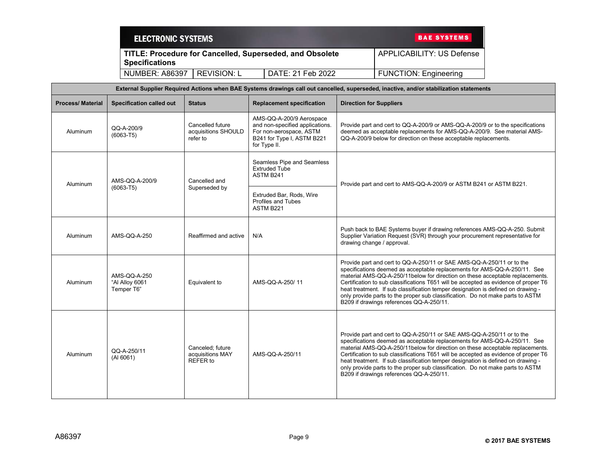| <b>ELECTRONIC SYSTEMS</b> |             |                                                          | <b>BAE SYSTEMS</b>           |
|---------------------------|-------------|----------------------------------------------------------|------------------------------|
| <b>Specifications</b>     |             | TITLE: Procedure for Cancelled, Superseded, and Obsolete | APPLICABILITY: US Defense    |
| <b>NUMBER: A86397</b>     | REVISION: L | DATE: 21 Feb 2022                                        | <b>FUNCTION: Engineering</b> |

| External Supplier Required Actions when BAE Systems drawings call out cancelled, superseded, inactive, and/or stabilization statements |                                              |                                                     |                                                                                                                                      |                                                                                                                                                                                                                                                                                                                                                                                                                                                                                                                                               |
|----------------------------------------------------------------------------------------------------------------------------------------|----------------------------------------------|-----------------------------------------------------|--------------------------------------------------------------------------------------------------------------------------------------|-----------------------------------------------------------------------------------------------------------------------------------------------------------------------------------------------------------------------------------------------------------------------------------------------------------------------------------------------------------------------------------------------------------------------------------------------------------------------------------------------------------------------------------------------|
| <b>Process/Material</b>                                                                                                                | <b>Specification called out</b>              | <b>Status</b>                                       | <b>Replacement specification</b>                                                                                                     | <b>Direction for Suppliers</b>                                                                                                                                                                                                                                                                                                                                                                                                                                                                                                                |
| Aluminum                                                                                                                               | QQ-A-200/9<br>$(6063 - T5)$                  | Cancelled future<br>acquisitions SHOULD<br>refer to | AMS-QQ-A-200/9 Aerospace<br>and non-specified applications.<br>For non-aerospace, ASTM<br>B241 for Type I, ASTM B221<br>for Type II. | Provide part and cert to QQ-A-200/9 or AMS-QQ-A-200/9 or to the specifications<br>deemed as acceptable replacements for AMS-QQ-A-200/9. See material AMS-<br>QQ-A-200/9 below for direction on these acceptable replacements.                                                                                                                                                                                                                                                                                                                 |
| Aluminum                                                                                                                               | AMS-QQ-A-200/9                               | Cancelled and                                       | Seamless Pipe and Seamless<br><b>Extruded Tube</b><br>ASTM B241                                                                      | Provide part and cert to AMS-QQ-A-200/9 or ASTM B241 or ASTM B221.                                                                                                                                                                                                                                                                                                                                                                                                                                                                            |
|                                                                                                                                        | $(6063 - T5)$                                | Superseded by                                       | Extruded Bar, Rods, Wire<br><b>Profiles and Tubes</b><br>ASTM B221                                                                   |                                                                                                                                                                                                                                                                                                                                                                                                                                                                                                                                               |
| Aluminum                                                                                                                               | AMS-QQ-A-250                                 | Reaffirmed and active                               | N/A                                                                                                                                  | Push back to BAE Systems buyer if drawing references AMS-QQ-A-250. Submit<br>Supplier Variation Request (SVR) through your procurement representative for<br>drawing change / approval.                                                                                                                                                                                                                                                                                                                                                       |
| Aluminum                                                                                                                               | AMS-QQ-A-250<br>"Al Alloy 6061<br>Temper T6" | Equivalent to                                       | AMS-QQ-A-250/11                                                                                                                      | Provide part and cert to QQ-A-250/11 or SAE AMS-QQ-A-250/11 or to the<br>specifications deemed as acceptable replacements for AMS-QQ-A-250/11. See<br>material AMS-QQ-A-250/11below for direction on these acceptable replacements.<br>Certification to sub classifications T651 will be accepted as evidence of proper T6<br>heat treatment. If sub classification temper designation is defined on drawing -<br>only provide parts to the proper sub classification. Do not make parts to ASTM<br>B209 if drawings references QQ-A-250/11.  |
| Aluminum                                                                                                                               | QQ-A-250/11<br>(A1 6061)                     | Canceled: future<br>acquisitions MAY<br>REFER to    | AMS-QQ-A-250/11                                                                                                                      | Provide part and cert to QQ-A-250/11 or SAE AMS-QQ-A-250/11 or to the<br>specifications deemed as acceptable replacements for AMS-QQ-A-250/11. See<br>material AMS-QQ-A-250/11 below for direction on these acceptable replacements.<br>Certification to sub classifications T651 will be accepted as evidence of proper T6<br>heat treatment. If sub classification temper designation is defined on drawing -<br>only provide parts to the proper sub classification. Do not make parts to ASTM<br>B209 if drawings references QQ-A-250/11. |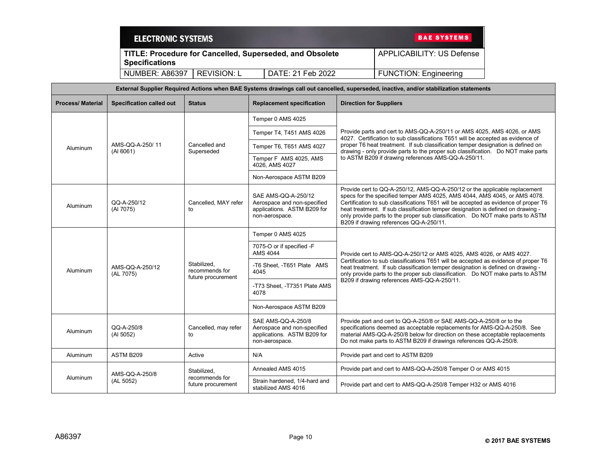|                          | <b>ELECTRONIC SYSTEMS</b>       |                                                     |                                                                                                     | <b>BAE SYSTEMS</b>                                                                                                                                                                                                          |                                                                                                                                                                                                                                                                                                                                                                                                                                                                 |  |
|--------------------------|---------------------------------|-----------------------------------------------------|-----------------------------------------------------------------------------------------------------|-----------------------------------------------------------------------------------------------------------------------------------------------------------------------------------------------------------------------------|-----------------------------------------------------------------------------------------------------------------------------------------------------------------------------------------------------------------------------------------------------------------------------------------------------------------------------------------------------------------------------------------------------------------------------------------------------------------|--|
|                          | <b>Specifications</b>           |                                                     | TITLE: Procedure for Cancelled, Superseded, and Obsolete                                            |                                                                                                                                                                                                                             | <b>APPLICABILITY: US Defense</b>                                                                                                                                                                                                                                                                                                                                                                                                                                |  |
|                          | <b>NUMBER: A86397</b>           | <b>REVISION: L</b>                                  | DATE: 21 Feb 2022                                                                                   |                                                                                                                                                                                                                             | <b>FUNCTION: Engineering</b>                                                                                                                                                                                                                                                                                                                                                                                                                                    |  |
|                          |                                 |                                                     |                                                                                                     |                                                                                                                                                                                                                             | External Supplier Required Actions when BAE Systems drawings call out cancelled, superseded, inactive, and/or stabilization statements                                                                                                                                                                                                                                                                                                                          |  |
| <b>Process/ Material</b> | <b>Specification called out</b> | <b>Status</b>                                       | <b>Replacement specification</b>                                                                    | <b>Direction for Suppliers</b>                                                                                                                                                                                              |                                                                                                                                                                                                                                                                                                                                                                                                                                                                 |  |
|                          |                                 |                                                     | Temper 0 AMS 4025                                                                                   |                                                                                                                                                                                                                             |                                                                                                                                                                                                                                                                                                                                                                                                                                                                 |  |
|                          |                                 |                                                     | Temper T4, T451 AMS 4026                                                                            |                                                                                                                                                                                                                             | Provide parts and cert to AMS-QQ-A-250/11 or AMS 4025, AMS 4026, or AMS<br>4027. Certification to sub classifications T651 will be accepted as evidence of                                                                                                                                                                                                                                                                                                      |  |
| Aluminum                 | AMS-QQ-A-250/11<br>(A1 6061)    | Cancelled and<br>Superseded                         | Temper T6, T651 AMS 4027                                                                            | proper T6 heat treatment. If sub classification temper designation is defined on<br>drawing - only provide parts to the proper sub classification. Do NOT make parts<br>to ASTM B209 if drawing references AMS-QQ-A-250/11. |                                                                                                                                                                                                                                                                                                                                                                                                                                                                 |  |
|                          |                                 |                                                     | Temper F AMS 4025, AMS<br>4026, AMS 4027                                                            |                                                                                                                                                                                                                             |                                                                                                                                                                                                                                                                                                                                                                                                                                                                 |  |
|                          |                                 |                                                     | Non-Aerospace ASTM B209                                                                             |                                                                                                                                                                                                                             |                                                                                                                                                                                                                                                                                                                                                                                                                                                                 |  |
| Aluminum                 | QQ-A-250/12<br>(AI 7075)        | Cancelled, MAY refer<br>to                          | SAE AMS-QQ-A-250/12<br>Aerospace and non-specified<br>applications. ASTM B209 for<br>non-aerospace. |                                                                                                                                                                                                                             | Provide cert to QQ-A-250/12, AMS-QQ-A-250/12 or the applicable replacement<br>specs for the specified temper AMS 4025, AMS 4044, AMS 4045, or AMS 4078.<br>Certification to sub classifications T651 will be accepted as evidence of proper T6<br>heat treatment. If sub classification temper designation is defined on drawing -<br>only provide parts to the proper sub classification. Do NOT make parts to ASTM<br>B209 if drawing references QQ-A-250/11. |  |
|                          |                                 |                                                     | Temper 0 AMS 4025                                                                                   |                                                                                                                                                                                                                             |                                                                                                                                                                                                                                                                                                                                                                                                                                                                 |  |
|                          |                                 |                                                     | 7075-O or if specified -F<br>AMS 4044                                                               |                                                                                                                                                                                                                             | Provide cert to AMS-QQ-A-250/12 or AMS 4025, AMS 4026, or AMS 4027.                                                                                                                                                                                                                                                                                                                                                                                             |  |
| Aluminum                 | AMS-QQ-A-250/12<br>(AL 7075)    | Stabilized.<br>recommends for<br>future procurement | -T6 Sheet, -T651 Plate AMS<br>4045                                                                  |                                                                                                                                                                                                                             | Certification to sub classifications T651 will be accepted as evidence of proper T6<br>heat treatment. If sub classification temper designation is defined on drawing -<br>only provide parts to the proper sub classification.  Do NOT make parts to ASTM                                                                                                                                                                                                      |  |
|                          |                                 |                                                     | -T73 Sheet, -T7351 Plate AMS<br>4078                                                                |                                                                                                                                                                                                                             | B209 if drawing references AMS-QQ-A-250/11.                                                                                                                                                                                                                                                                                                                                                                                                                     |  |
|                          |                                 |                                                     | Non-Aerospace ASTM B209                                                                             |                                                                                                                                                                                                                             |                                                                                                                                                                                                                                                                                                                                                                                                                                                                 |  |

Aluminum QQ-A-250/8

Aluminum AMS-QQ-A-250/8 (AL 5052)

(Al 5052)

Cancelled, may refer

to

Stabilized, recommends for future procurement

Strain hardened, 1/4-hard and<br>stabilized AMS 4016

SAE AMS-QQ-A-250/8 Aerospace and non-specified applications. ASTM B209 for

non-aerospace.

Aluminum ASTM B209 Active N/A N/A Provide part and cert to ASTM B209

Provide part and cert to QQ-A-250/8 or SAE AMS-QQ-A-250/8 or to the specifications deemed as acceptable replacements for AMS-QQ-A-250/8. See material AMS-QQ-A-250/8 below for direction on these acceptable replacements Do not make parts to ASTM B209 if drawings references QQ-A-250/8.

Provide part and cert to AMS-QQ-A-250/8 Temper H32 or AMS 4016

Annealed AMS 4015 **Provide part and cert to AMS-QQ-A-250/8 Temper O or AMS 4015**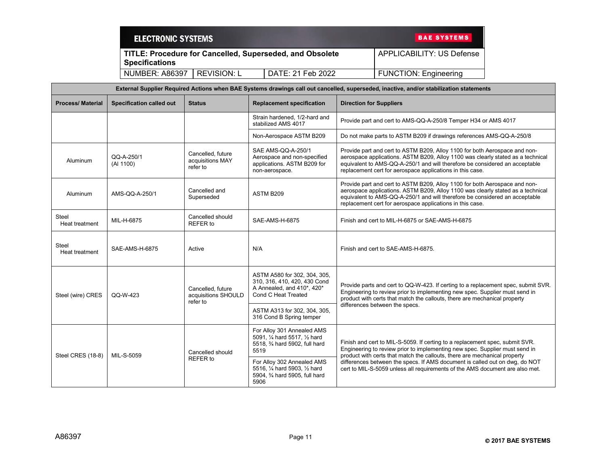| <b>ELECTRONIC SYSTEMS</b> |             |                                                                 | <b>BAE SYSTEMS</b>           |
|---------------------------|-------------|-----------------------------------------------------------------|------------------------------|
| <b>Specifications</b>     |             | <b>TITLE: Procedure for Cancelled, Superseded, and Obsolete</b> | APPLICABILITY: US Defense    |
| <b>NUMBER: A86397</b>     | REVISION: L | DATE: 21 Feb 2022                                               | <b>FUNCTION: Engineering</b> |

|                                | External Supplier Required Actions when BAE Systems drawings call out cancelled, superseded, inactive, and/or stabilization statements |                                                      |                                                                                                                   |                                                                                                                                                                                                                                                                                                           |  |
|--------------------------------|----------------------------------------------------------------------------------------------------------------------------------------|------------------------------------------------------|-------------------------------------------------------------------------------------------------------------------|-----------------------------------------------------------------------------------------------------------------------------------------------------------------------------------------------------------------------------------------------------------------------------------------------------------|--|
| <b>Process/Material</b>        | <b>Specification called out</b>                                                                                                        | <b>Status</b>                                        | <b>Replacement specification</b>                                                                                  | <b>Direction for Suppliers</b>                                                                                                                                                                                                                                                                            |  |
|                                |                                                                                                                                        |                                                      | Strain hardened, 1/2-hard and<br>stabilized AMS 4017                                                              | Provide part and cert to AMS-QQ-A-250/8 Temper H34 or AMS 4017                                                                                                                                                                                                                                            |  |
|                                |                                                                                                                                        |                                                      | Non-Aerospace ASTM B209                                                                                           | Do not make parts to ASTM B209 if drawings references AMS-QQ-A-250/8                                                                                                                                                                                                                                      |  |
| <b>Aluminum</b>                | QQ-A-250/1<br>(Al 1100)                                                                                                                | Cancelled, future<br>acquisitions MAY<br>refer to    | SAE AMS-QQ-A-250/1<br>Aerospace and non-specified<br>applications. ASTM B209 for<br>non-aerospace.                | Provide part and cert to ASTM B209, Alloy 1100 for both Aerospace and non-<br>aerospace applications. ASTM B209, Alloy 1100 was clearly stated as a technical<br>equivalent to AMS-QQ-A-250/1 and will therefore be considered an acceptable<br>replacement cert for aerospace applications in this case. |  |
| Aluminum                       | AMS-QQ-A-250/1                                                                                                                         | Cancelled and<br>Superseded                          | ASTM B209                                                                                                         | Provide part and cert to ASTM B209, Alloy 1100 for both Aerospace and non-<br>aerospace applications. ASTM B209, Alloy 1100 was clearly stated as a technical<br>equivalent to AMS-QQ-A-250/1 and will therefore be considered an acceptable<br>replacement cert for aerospace applications in this case. |  |
| Steel<br>Heat treatment        | MIL-H-6875                                                                                                                             | Cancelled should<br><b>REFER to</b>                  | SAE-AMS-H-6875                                                                                                    | Finish and cert to MIL-H-6875 or SAE-AMS-H-6875                                                                                                                                                                                                                                                           |  |
| <b>Steel</b><br>Heat treatment | SAE-AMS-H-6875                                                                                                                         | Active                                               | N/A                                                                                                               | Finish and cert to SAE-AMS-H-6875.                                                                                                                                                                                                                                                                        |  |
| Steel (wire) CRES              | QQ-W-423                                                                                                                               | Cancelled, future<br>acquisitions SHOULD<br>refer to | ASTM A580 for 302, 304, 305,<br>310, 316, 410, 420, 430 Cond<br>A Annealed, and 410*, 420*<br>Cond C Heat Treated | Provide parts and cert to QQ-W-423. If certing to a replacement spec, submit SVR.<br>Engineering to review prior to implementing new spec. Supplier must send in<br>product with certs that match the callouts, there are mechanical property                                                             |  |
|                                |                                                                                                                                        |                                                      | ASTM A313 for 302, 304, 305,<br>316 Cond B Spring temper                                                          | differences between the specs.                                                                                                                                                                                                                                                                            |  |
| Steel CRES (18-8)              | MIL-S-5059                                                                                                                             | Cancelled should                                     | For Alloy 301 Annealed AMS<br>5091, 1/4 hard 5517, 1/2 hard<br>5518, 3/4 hard 5902, full hard<br>5519             | Finish and cert to MIL-S-5059. If certing to a replacement spec, submit SVR.<br>Engineering to review prior to implementing new spec. Supplier must send in<br>product with certs that match the callouts, there are mechanical property                                                                  |  |
|                                |                                                                                                                                        | REFER to                                             | For Alloy 302 Annealed AMS<br>5516, 1/4 hard 5903, 1/2 hard<br>5904, 3/4 hard 5905, full hard<br>5906             | differences between the specs. If AMS document is called out on dwg, do NOT<br>cert to MIL-S-5059 unless all requirements of the AMS document are also met.                                                                                                                                               |  |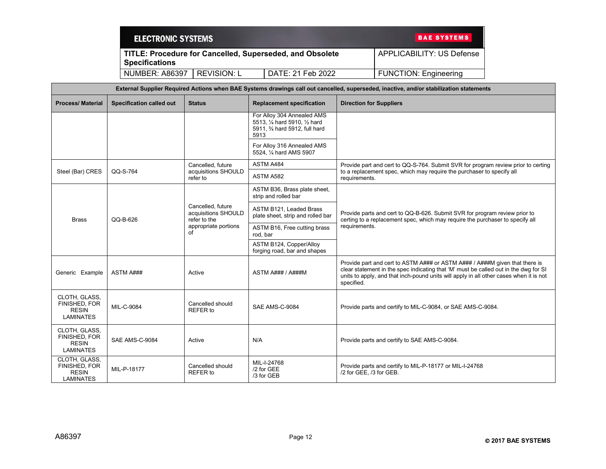| <b>ELECTRONIC SYSTEMS</b> |             |                                                          | <b>BAE SYSTEMS</b>           |
|---------------------------|-------------|----------------------------------------------------------|------------------------------|
| <b>Specifications</b>     |             | TITLE: Procedure for Cancelled, Superseded, and Obsolete | APPLICABILITY: US Defense    |
| <b>NUMBER: A86397</b>     | REVISION: L | DATE: 21 Feb 2022                                        | <b>FUNCTION: Engineering</b> |

| External Supplier Required Actions when BAE Systems drawings call out cancelled, superseded, inactive, and/or stabilization statements |                          |                                                          |                                                                                                       |                                                                                                                                                                                                                                                                             |  |
|----------------------------------------------------------------------------------------------------------------------------------------|--------------------------|----------------------------------------------------------|-------------------------------------------------------------------------------------------------------|-----------------------------------------------------------------------------------------------------------------------------------------------------------------------------------------------------------------------------------------------------------------------------|--|
| <b>Process/Material</b>                                                                                                                | Specification called out | <b>Status</b>                                            | <b>Replacement specification</b>                                                                      | <b>Direction for Suppliers</b>                                                                                                                                                                                                                                              |  |
|                                                                                                                                        |                          |                                                          | For Alloy 304 Annealed AMS<br>5513, 1/4 hard 5910, 1/2 hard<br>5911, 3⁄4 hard 5912, full hard<br>5913 |                                                                                                                                                                                                                                                                             |  |
|                                                                                                                                        |                          |                                                          | For Alloy 316 Annealed AMS<br>5524, 1/4 hard AMS 5907                                                 |                                                                                                                                                                                                                                                                             |  |
|                                                                                                                                        |                          | Cancelled, future                                        | ASTM A484                                                                                             | Provide part and cert to QQ-S-764. Submit SVR for program review prior to certing                                                                                                                                                                                           |  |
| Steel (Bar) CRES                                                                                                                       | QQ-S-764                 | acquisitions SHOULD<br>refer to                          | ASTM A582                                                                                             | to a replacement spec, which may require the purchaser to specify all<br>requirements.                                                                                                                                                                                      |  |
|                                                                                                                                        |                          |                                                          | ASTM B36, Brass plate sheet,<br>strip and rolled bar                                                  |                                                                                                                                                                                                                                                                             |  |
| <b>Brass</b>                                                                                                                           | QQ-B-626                 | Cancelled, future<br>acquisitions SHOULD<br>refer to the | ASTM B121, Leaded Brass<br>plate sheet, strip and rolled bar                                          | Provide parts and cert to QQ-B-626. Submit SVR for program review prior to<br>certing to a replacement spec, which may require the purchaser to specify all                                                                                                                 |  |
|                                                                                                                                        |                          | appropriate portions<br>оf                               | ASTM B16, Free cutting brass<br>rod, bar                                                              | requirements.                                                                                                                                                                                                                                                               |  |
|                                                                                                                                        |                          |                                                          | ASTM B124, Copper/Alloy<br>forging road, bar and shapes                                               |                                                                                                                                                                                                                                                                             |  |
| Generic Example                                                                                                                        | <b>ASTM A###</b>         | Active                                                   | ASTM A### / A###M                                                                                     | Provide part and cert to ASTM A### or ASTM A### / A###M given that there is<br>clear statement in the spec indicating that 'M' must be called out in the dwg for SI<br>units to apply, and that inch-pound units will apply in all other cases when it is not<br>specified. |  |
| CLOTH, GLASS,<br>FINISHED, FOR<br><b>RESIN</b><br><b>LAMINATES</b>                                                                     | MIL-C-9084               | Cancelled should<br>REFER to                             | SAE AMS-C-9084                                                                                        | Provide parts and certify to MIL-C-9084, or SAE AMS-C-9084.                                                                                                                                                                                                                 |  |
| CLOTH, GLASS,<br>FINISHED, FOR<br><b>RESIN</b><br><b>LAMINATES</b>                                                                     | SAE AMS-C-9084           | Active                                                   | N/A                                                                                                   | Provide parts and certify to SAE AMS-C-9084.                                                                                                                                                                                                                                |  |
| CLOTH, GLASS,<br>FINISHED, FOR<br><b>RESIN</b><br><b>LAMINATES</b>                                                                     | MIL-P-18177              | Cancelled should<br>REFER to                             | MIL-I-24768<br>/2 for GEE<br>/3 for GEB                                                               | Provide parts and certify to MIL-P-18177 or MIL-I-24768<br>/2 for GEE, /3 for GEB.                                                                                                                                                                                          |  |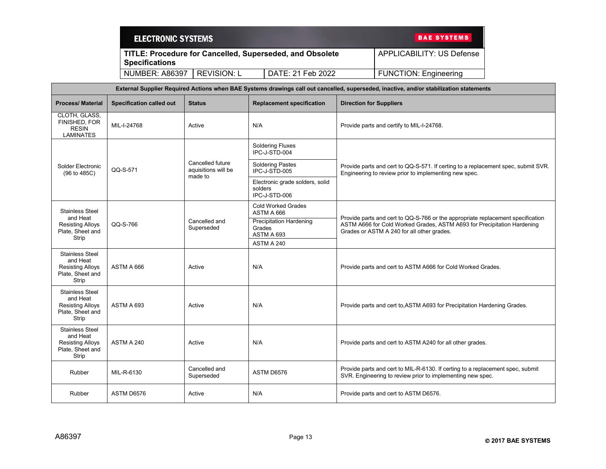| <b>ELECTRONIC SYSTEMS</b> |             |                                                          | <b>BAE SYSTEMS</b>           |
|---------------------------|-------------|----------------------------------------------------------|------------------------------|
| <b>Specifications</b>     |             | TITLE: Procedure for Cancelled, Superseded, and Obsolete | APPLICABILITY: US Defense    |
| <b>NUMBER: A86397</b>     | REVISION: L | DATE: 21 Feb 2022                                        | <b>FUNCTION: Engineering</b> |

| External Supplier Required Actions when BAE Systems drawings call out cancelled, superseded, inactive, and/or stabilization statements |                                 |                                                    |                                                                      |                                                                                                                                                                                                          |
|----------------------------------------------------------------------------------------------------------------------------------------|---------------------------------|----------------------------------------------------|----------------------------------------------------------------------|----------------------------------------------------------------------------------------------------------------------------------------------------------------------------------------------------------|
| <b>Process/Material</b>                                                                                                                | <b>Specification called out</b> | <b>Status</b>                                      | <b>Replacement specification</b>                                     | <b>Direction for Suppliers</b>                                                                                                                                                                           |
| CLOTH, GLASS,<br>FINISHED, FOR<br><b>RESIN</b><br><b>LAMINATES</b>                                                                     | MIL-I-24768                     | Active                                             | N/A                                                                  | Provide parts and certify to MIL-I-24768.                                                                                                                                                                |
|                                                                                                                                        |                                 |                                                    | <b>Soldering Fluxes</b><br>IPC-J-STD-004                             |                                                                                                                                                                                                          |
| Solder Electronic<br>(96 to 485C)                                                                                                      | QQ-S-571                        | Cancelled future<br>aquisitions will be<br>made to | <b>Soldering Pastes</b><br>IPC-J-STD-005                             | Provide parts and cert to QQ-S-571. If certing to a replacement spec, submit SVR.<br>Engineering to review prior to implementing new spec.                                                               |
|                                                                                                                                        |                                 |                                                    | Electronic grade solders, solid<br>solders<br>IPC-J-STD-006          |                                                                                                                                                                                                          |
| <b>Stainless Steel</b><br>and Heat                                                                                                     |                                 |                                                    | <b>Cold Worked Grades</b><br>ASTM A 666                              |                                                                                                                                                                                                          |
| <b>Resisting Alloys</b><br>Plate, Sheet and<br>Strip                                                                                   | QQ-S-766                        | Cancelled and<br>Superseded                        | <b>Precipitation Hardening</b><br>Grades<br>ASTM A 693<br>ASTM A 240 | Provide parts and cert to QQ-S-766 or the appropriate replacement specification<br>ASTM A666 for Cold Worked Grades, ASTM A693 for Precipitation Hardening<br>Grades or ASTM A 240 for all other grades. |
| <b>Stainless Steel</b><br>and Heat<br><b>Resisting Alloys</b><br>Plate, Sheet and<br>Strip                                             | ASTM A 666                      | Active                                             | N/A                                                                  | Provide parts and cert to ASTM A666 for Cold Worked Grades.                                                                                                                                              |
| <b>Stainless Steel</b><br>and Heat<br><b>Resisting Alloys</b><br>Plate, Sheet and<br>Strip                                             | ASTM A 693                      | Active                                             | N/A                                                                  | Provide parts and cert to ASTM A693 for Precipitation Hardening Grades.                                                                                                                                  |
| <b>Stainless Steel</b><br>and Heat<br><b>Resisting Alloys</b><br>Plate, Sheet and<br>Strip                                             | ASTM A 240                      | Active                                             | N/A                                                                  | Provide parts and cert to ASTM A240 for all other grades.                                                                                                                                                |
| Rubber                                                                                                                                 | MIL-R-6130                      | Cancelled and<br>Superseded                        | ASTM D6576                                                           | Provide parts and cert to MIL-R-6130. If certing to a replacement spec, submit<br>SVR. Engineering to review prior to implementing new spec.                                                             |
| Rubber                                                                                                                                 | ASTM D6576                      | Active                                             | N/A                                                                  | Provide parts and cert to ASTM D6576.                                                                                                                                                                    |